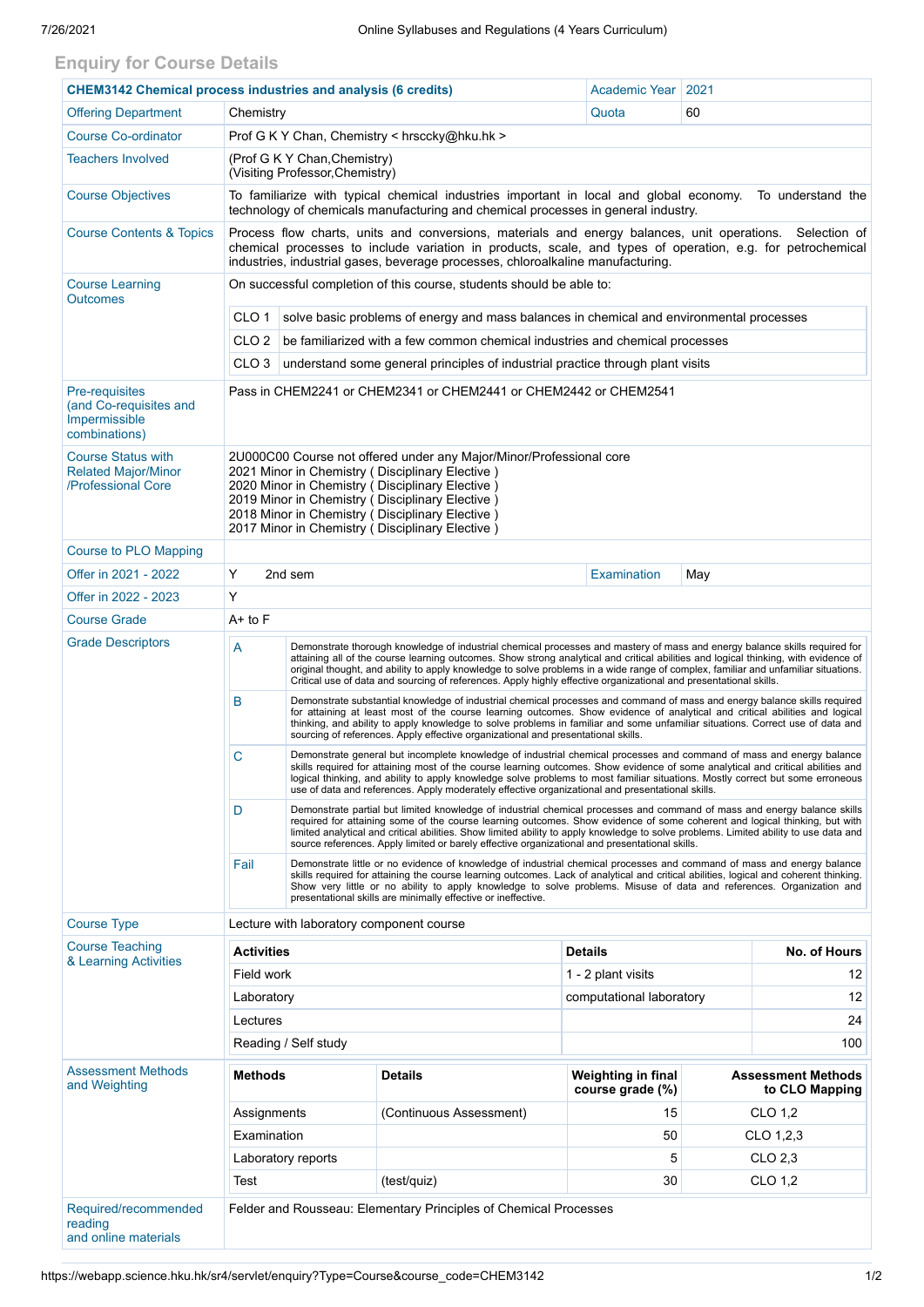## **Enquiry for Course Details**

| <b>CHEM3142 Chemical process industries and analysis (6 credits)</b>              |                                                                                                                                                                                                                                                                                                                                                                                                                                                                                                                                   |                                                                                                                                                                                                                                                                                                                                                                                                                                                                                                   |                                                                              | <b>Academic Year</b>      | 2021                 |                           |  |
|-----------------------------------------------------------------------------------|-----------------------------------------------------------------------------------------------------------------------------------------------------------------------------------------------------------------------------------------------------------------------------------------------------------------------------------------------------------------------------------------------------------------------------------------------------------------------------------------------------------------------------------|---------------------------------------------------------------------------------------------------------------------------------------------------------------------------------------------------------------------------------------------------------------------------------------------------------------------------------------------------------------------------------------------------------------------------------------------------------------------------------------------------|------------------------------------------------------------------------------|---------------------------|----------------------|---------------------------|--|
| <b>Offering Department</b>                                                        | Chemistry                                                                                                                                                                                                                                                                                                                                                                                                                                                                                                                         |                                                                                                                                                                                                                                                                                                                                                                                                                                                                                                   |                                                                              | Quota                     | 60                   |                           |  |
| <b>Course Co-ordinator</b>                                                        |                                                                                                                                                                                                                                                                                                                                                                                                                                                                                                                                   |                                                                                                                                                                                                                                                                                                                                                                                                                                                                                                   |                                                                              |                           |                      |                           |  |
| <b>Teachers Involved</b>                                                          | Prof G K Y Chan, Chemistry < hrsccky@hku.hk ><br>(Prof G K Y Chan, Chemistry)                                                                                                                                                                                                                                                                                                                                                                                                                                                     |                                                                                                                                                                                                                                                                                                                                                                                                                                                                                                   |                                                                              |                           |                      |                           |  |
|                                                                                   | (Visiting Professor, Chemistry)                                                                                                                                                                                                                                                                                                                                                                                                                                                                                                   |                                                                                                                                                                                                                                                                                                                                                                                                                                                                                                   |                                                                              |                           |                      |                           |  |
| <b>Course Objectives</b>                                                          | To familiarize with typical chemical industries important in local and global economy.<br>To understand the<br>technology of chemicals manufacturing and chemical processes in general industry.                                                                                                                                                                                                                                                                                                                                  |                                                                                                                                                                                                                                                                                                                                                                                                                                                                                                   |                                                                              |                           |                      |                           |  |
| <b>Course Contents &amp; Topics</b>                                               | Process flow charts, units and conversions, materials and energy balances, unit operations.<br>Selection of<br>chemical processes to include variation in products, scale, and types of operation, e.g. for petrochemical<br>industries, industrial gases, beverage processes, chloroalkaline manufacturing.                                                                                                                                                                                                                      |                                                                                                                                                                                                                                                                                                                                                                                                                                                                                                   |                                                                              |                           |                      |                           |  |
| <b>Course Learning</b><br><b>Outcomes</b>                                         | On successful completion of this course, students should be able to:                                                                                                                                                                                                                                                                                                                                                                                                                                                              |                                                                                                                                                                                                                                                                                                                                                                                                                                                                                                   |                                                                              |                           |                      |                           |  |
|                                                                                   | CLO 1<br>solve basic problems of energy and mass balances in chemical and environmental processes                                                                                                                                                                                                                                                                                                                                                                                                                                 |                                                                                                                                                                                                                                                                                                                                                                                                                                                                                                   |                                                                              |                           |                      |                           |  |
|                                                                                   | CLO <sub>2</sub>                                                                                                                                                                                                                                                                                                                                                                                                                                                                                                                  |                                                                                                                                                                                                                                                                                                                                                                                                                                                                                                   | be familiarized with a few common chemical industries and chemical processes |                           |                      |                           |  |
|                                                                                   | CLO <sub>3</sub><br>understand some general principles of industrial practice through plant visits                                                                                                                                                                                                                                                                                                                                                                                                                                |                                                                                                                                                                                                                                                                                                                                                                                                                                                                                                   |                                                                              |                           |                      |                           |  |
| <b>Pre-requisites</b><br>(and Co-requisites and<br>Impermissible<br>combinations) | Pass in CHEM2241 or CHEM2341 or CHEM2441 or CHEM2442 or CHEM2541                                                                                                                                                                                                                                                                                                                                                                                                                                                                  |                                                                                                                                                                                                                                                                                                                                                                                                                                                                                                   |                                                                              |                           |                      |                           |  |
| <b>Course Status with</b><br><b>Related Major/Minor</b><br>/Professional Core     | 2U000C00 Course not offered under any Major/Minor/Professional core<br>2021 Minor in Chemistry (Disciplinary Elective)<br>2020 Minor in Chemistry (Disciplinary Elective)<br>2019 Minor in Chemistry (Disciplinary Elective)<br>2018 Minor in Chemistry (Disciplinary Elective)<br>2017 Minor in Chemistry (Disciplinary Elective)                                                                                                                                                                                                |                                                                                                                                                                                                                                                                                                                                                                                                                                                                                                   |                                                                              |                           |                      |                           |  |
| Course to PLO Mapping                                                             |                                                                                                                                                                                                                                                                                                                                                                                                                                                                                                                                   |                                                                                                                                                                                                                                                                                                                                                                                                                                                                                                   |                                                                              |                           |                      |                           |  |
| Offer in 2021 - 2022                                                              | Υ<br>2nd sem<br><b>Examination</b><br>May                                                                                                                                                                                                                                                                                                                                                                                                                                                                                         |                                                                                                                                                                                                                                                                                                                                                                                                                                                                                                   |                                                                              |                           |                      |                           |  |
| Offer in 2022 - 2023                                                              | Y                                                                                                                                                                                                                                                                                                                                                                                                                                                                                                                                 |                                                                                                                                                                                                                                                                                                                                                                                                                                                                                                   |                                                                              |                           |                      |                           |  |
| <b>Course Grade</b>                                                               | $A+$ to $F$                                                                                                                                                                                                                                                                                                                                                                                                                                                                                                                       |                                                                                                                                                                                                                                                                                                                                                                                                                                                                                                   |                                                                              |                           |                      |                           |  |
| <b>Grade Descriptors</b>                                                          | Demonstrate thorough knowledge of industrial chemical processes and mastery of mass and energy balance skills required for<br>Α<br>attaining all of the course learning outcomes. Show strong analytical and critical abilities and logical thinking, with evidence of<br>original thought, and ability to apply knowledge to solve problems in a wide range of complex, familiar and unfamiliar situations.<br>Critical use of data and sourcing of references. Apply highly effective organizational and presentational skills. |                                                                                                                                                                                                                                                                                                                                                                                                                                                                                                   |                                                                              |                           |                      |                           |  |
|                                                                                   | B                                                                                                                                                                                                                                                                                                                                                                                                                                                                                                                                 | Demonstrate substantial knowledge of industrial chemical processes and command of mass and energy balance skills required<br>for attaining at least most of the course learning outcomes. Show evidence of analytical and critical abilities and logical<br>thinking, and ability to apply knowledge to solve problems in familiar and some unfamiliar situations. Correct use of data and<br>sourcing of references. Apply effective organizational and presentational skills.                   |                                                                              |                           |                      |                           |  |
|                                                                                   | C                                                                                                                                                                                                                                                                                                                                                                                                                                                                                                                                 | Demonstrate general but incomplete knowledge of industrial chemical processes and command of mass and energy balance<br>skills required for attaining most of the course learning outcomes. Show evidence of some analytical and critical abilities and<br>logical thinking, and ability to apply knowledge solve problems to most familiar situations. Mostly correct but some erroneous<br>use of data and references. Apply moderately effective organizational and presentational skills.     |                                                                              |                           |                      |                           |  |
|                                                                                   | D                                                                                                                                                                                                                                                                                                                                                                                                                                                                                                                                 | Demonstrate partial but limited knowledge of industrial chemical processes and command of mass and energy balance skills<br>required for attaining some of the course learning outcomes. Show evidence of some coherent and logical thinking, but with<br>limited analytical and critical abilities. Show limited ability to apply knowledge to solve problems. Limited ability to use data and<br>source references. Apply limited or barely effective organizational and presentational skills. |                                                                              |                           |                      |                           |  |
|                                                                                   | Fail<br>Demonstrate little or no evidence of knowledge of industrial chemical processes and command of mass and energy balance<br>skills required for attaining the course learning outcomes. Lack of analytical and critical abilities, logical and coherent thinking.<br>Show very little or no ability to apply knowledge to solve problems. Misuse of data and references. Organization and<br>presentational skills are minimally effective or ineffective.                                                                  |                                                                                                                                                                                                                                                                                                                                                                                                                                                                                                   |                                                                              |                           |                      |                           |  |
| <b>Course Type</b>                                                                |                                                                                                                                                                                                                                                                                                                                                                                                                                                                                                                                   |                                                                                                                                                                                                                                                                                                                                                                                                                                                                                                   | Lecture with laboratory component course                                     |                           |                      |                           |  |
| <b>Course Teaching</b>                                                            | <b>Activities</b>                                                                                                                                                                                                                                                                                                                                                                                                                                                                                                                 |                                                                                                                                                                                                                                                                                                                                                                                                                                                                                                   |                                                                              | <b>Details</b>            |                      | No. of Hours              |  |
| & Learning Activities                                                             | Field work                                                                                                                                                                                                                                                                                                                                                                                                                                                                                                                        |                                                                                                                                                                                                                                                                                                                                                                                                                                                                                                   |                                                                              | 1 - 2 plant visits        |                      | 12                        |  |
|                                                                                   | Laboratory                                                                                                                                                                                                                                                                                                                                                                                                                                                                                                                        |                                                                                                                                                                                                                                                                                                                                                                                                                                                                                                   |                                                                              | computational laboratory  |                      | 12                        |  |
|                                                                                   | Lectures                                                                                                                                                                                                                                                                                                                                                                                                                                                                                                                          |                                                                                                                                                                                                                                                                                                                                                                                                                                                                                                   |                                                                              |                           |                      | 24                        |  |
|                                                                                   | Reading / Self study<br>100                                                                                                                                                                                                                                                                                                                                                                                                                                                                                                       |                                                                                                                                                                                                                                                                                                                                                                                                                                                                                                   |                                                                              |                           |                      |                           |  |
| <b>Assessment Methods</b><br>and Weighting                                        | <b>Methods</b>                                                                                                                                                                                                                                                                                                                                                                                                                                                                                                                    |                                                                                                                                                                                                                                                                                                                                                                                                                                                                                                   | <b>Details</b>                                                               | <b>Weighting in final</b> |                      | <b>Assessment Methods</b> |  |
|                                                                                   |                                                                                                                                                                                                                                                                                                                                                                                                                                                                                                                                   |                                                                                                                                                                                                                                                                                                                                                                                                                                                                                                   |                                                                              | course grade (%)<br>15    |                      | to CLO Mapping            |  |
|                                                                                   | Assignments<br>Examination                                                                                                                                                                                                                                                                                                                                                                                                                                                                                                        |                                                                                                                                                                                                                                                                                                                                                                                                                                                                                                   | (Continuous Assessment)                                                      | 50                        | CLO 1,2<br>CLO 1,2,3 |                           |  |
|                                                                                   | Laboratory reports                                                                                                                                                                                                                                                                                                                                                                                                                                                                                                                |                                                                                                                                                                                                                                                                                                                                                                                                                                                                                                   |                                                                              | 5                         | CLO 2,3              |                           |  |
|                                                                                   | Test                                                                                                                                                                                                                                                                                                                                                                                                                                                                                                                              |                                                                                                                                                                                                                                                                                                                                                                                                                                                                                                   | (test/quiz)                                                                  | 30                        |                      | CLO 1,2                   |  |
|                                                                                   |                                                                                                                                                                                                                                                                                                                                                                                                                                                                                                                                   |                                                                                                                                                                                                                                                                                                                                                                                                                                                                                                   |                                                                              |                           |                      |                           |  |
| Required/recommended<br>reading<br>and online materials                           |                                                                                                                                                                                                                                                                                                                                                                                                                                                                                                                                   |                                                                                                                                                                                                                                                                                                                                                                                                                                                                                                   | Felder and Rousseau: Elementary Principles of Chemical Processes             |                           |                      |                           |  |